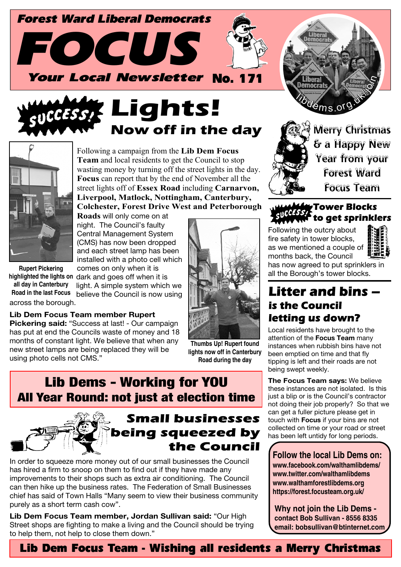





Following a campaign from the **Lib Dem Focus Team** and local residents to get the Council to stop wasting money by turning off the street lights in the day. **Focus** can report that by the end of November all the street lights off of **Essex Road** including **Carnarvon, Liverpool, Matlock, Nottingham, Canterbury, Colchester, Forest Drive West and Peterborough**

**Roads** will only come on at night. The Council's faulty Central Management System (CMS) has now been dropped and each street lamp has been installed with a photo cell which comes on only when it is

light. A simple system which we believe the Council is now using

highlighted the lights on dark and goes off when it is across the borough. **Rupert Pickering all day in Canterbury Road in the last Focus**

**Lib Dem Focus Team member Rupert**

**Pickering said:** "Success at last! - Our campaign has put at end the Councils waste of money and 18 months of constant light. We believe that when any new street lamps are being replaced they will be using photo cells not CMS."



**Thumbs Up! Rupert found lights now off in Canterbury Road during the day**

# Lib Dems - Working for YOU All Year Round: not just at election time



# **Small businesses** being squeezed by the Council

In order to squeeze more money out of our small businesses the Council has hired a firm to snoop on them to find out if they have made any improvements to their shops such as extra air conditioning. The Council can then hike up the business rates. The Federation of Small Businesses chief has said of Town Halls "Many seem to view their business community purely as a short term cash cow".

**Lib Dem Focus Team member, Jordan Sullivan said:** "Our High Street shops are fighting to make a living and the Council should be trying to help them, not help to close them down."





Merry Christmas & a Happy New Year from your Forest Ward Focus Team

#### **Tower Blocks** to get sprinklers

Following the outcry about fire safety in tower blocks, as we mentioned a couple of months back, the Council



has now agreed to put sprinklers in all the Borough's tower blocks.

### Litter and bins is the Council letting us down?

Local residents have brought to the attention of the **Focus Team** many instances when rubbish bins have not been emptied on time and that fly tipping is left and their roads are not being swept weekly.

**The Focus Team says:** We believe these instances are not isolated. Is this just a blip or is the Council's contractor not doing their job properly? So that we can get a fuller picture please get in touch with **Focus** if your bins are not collected on time or your road or street has been left untidy for long periods.

**Follow the local Lib Dems on: www.facebook.com/walthamlibdems/ www.twitter.com/walthamlibdems www.walthamforestlibdems.org https://forest.focusteam.org.uk/**

**Why not join the Lib Dems contact Bob Sullivan - 8556 8335 email: bobsullivan@btinternet.com**